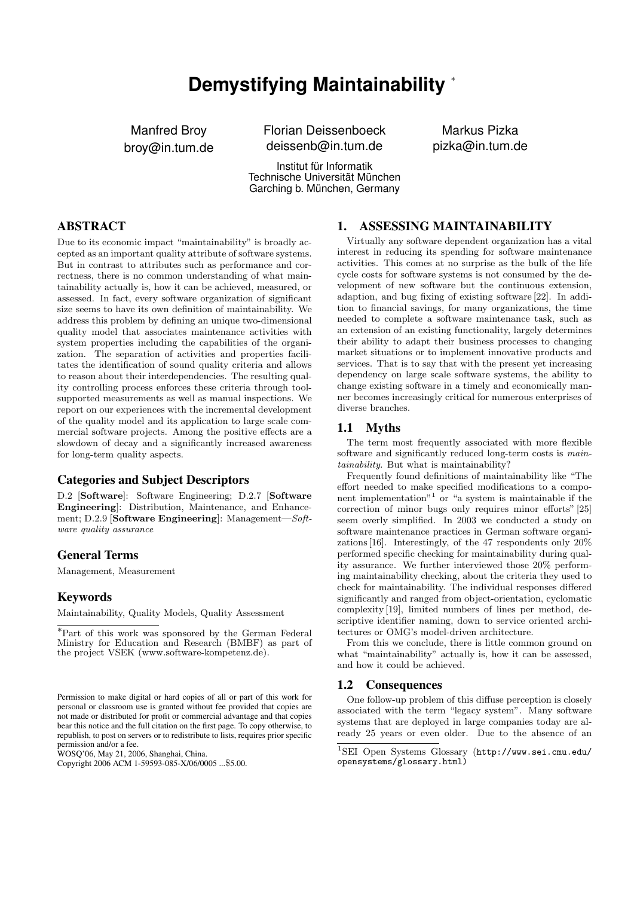# **Demystifying Maintainability** <sup>∗</sup>

Manfred Broy broy@in.tum.de Florian Deissenboeck deissenb@in.tum.de

Markus Pizka pizka@in.tum.de

Institut für Informatik Technische Universität München Garching b. München, Germany

# ABSTRACT

Due to its economic impact "maintainability" is broadly accepted as an important quality attribute of software systems. But in contrast to attributes such as performance and correctness, there is no common understanding of what maintainability actually is, how it can be achieved, measured, or assessed. In fact, every software organization of significant size seems to have its own definition of maintainability. We address this problem by defining an unique two-dimensional quality model that associates maintenance activities with system properties including the capabilities of the organization. The separation of activities and properties facilitates the identification of sound quality criteria and allows to reason about their interdependencies. The resulting quality controlling process enforces these criteria through toolsupported measurements as well as manual inspections. We report on our experiences with the incremental development of the quality model and its application to large scale commercial software projects. Among the positive effects are a slowdown of decay and a significantly increased awareness for long-term quality aspects.

# Categories and Subject Descriptors

D.2 [Software]: Software Engineering; D.2.7 [Software Engineering]: Distribution, Maintenance, and Enhancement; D.2.9 [Software Engineering]: Management—Software quality assurance

## General Terms

Management, Measurement

#### Keywords

Maintainability, Quality Models, Quality Assessment

<sup>∗</sup>Part of this work was sponsored by the German Federal Ministry for Education and Research (BMBF) as part of the project VSEK (www.software-kompetenz.de).

WOSQ'06, May 21, 2006, Shanghai, China.

### 1. ASSESSING MAINTAINABILITY

Virtually any software dependent organization has a vital interest in reducing its spending for software maintenance activities. This comes at no surprise as the bulk of the life cycle costs for software systems is not consumed by the development of new software but the continuous extension, adaption, and bug fixing of existing software [22]. In addition to financial savings, for many organizations, the time needed to complete a software maintenance task, such as an extension of an existing functionality, largely determines their ability to adapt their business processes to changing market situations or to implement innovative products and services. That is to say that with the present yet increasing dependency on large scale software systems, the ability to change existing software in a timely and economically manner becomes increasingly critical for numerous enterprises of diverse branches.

### 1.1 Myths

The term most frequently associated with more flexible software and significantly reduced long-term costs is *main*tainability. But what is maintainability?

Frequently found definitions of maintainability like "The effort needed to make specified modifications to a component implementation"<sup>1</sup> or "a system is maintainable if the correction of minor bugs only requires minor efforts" [25] seem overly simplified. In 2003 we conducted a study on software maintenance practices in German software organizations [16]. Interestingly, of the 47 respondents only 20% performed specific checking for maintainability during quality assurance. We further interviewed those 20% performing maintainability checking, about the criteria they used to check for maintainability. The individual responses differed significantly and ranged from object-orientation, cyclomatic complexity [19], limited numbers of lines per method, descriptive identifier naming, down to service oriented architectures or OMG's model-driven architecture.

From this we conclude, there is little common ground on what "maintainability" actually is, how it can be assessed, and how it could be achieved.

#### 1.2 Consequences

One follow-up problem of this diffuse perception is closely associated with the term "legacy system". Many software systems that are deployed in large companies today are already 25 years or even older. Due to the absence of an

Permission to make digital or hard copies of all or part of this work for personal or classroom use is granted without fee provided that copies are not made or distributed for profit or commercial advantage and that copies bear this notice and the full citation on the first page. To copy otherwise, to republish, to post on servers or to redistribute to lists, requires prior specific permission and/or a fee.

Copyright 2006 ACM 1-59593-085-X/06/0005 ...\$5.00.

<sup>1</sup>SEI Open Systems Glossary (http://www.sei.cmu.edu/ opensystems/glossary.html)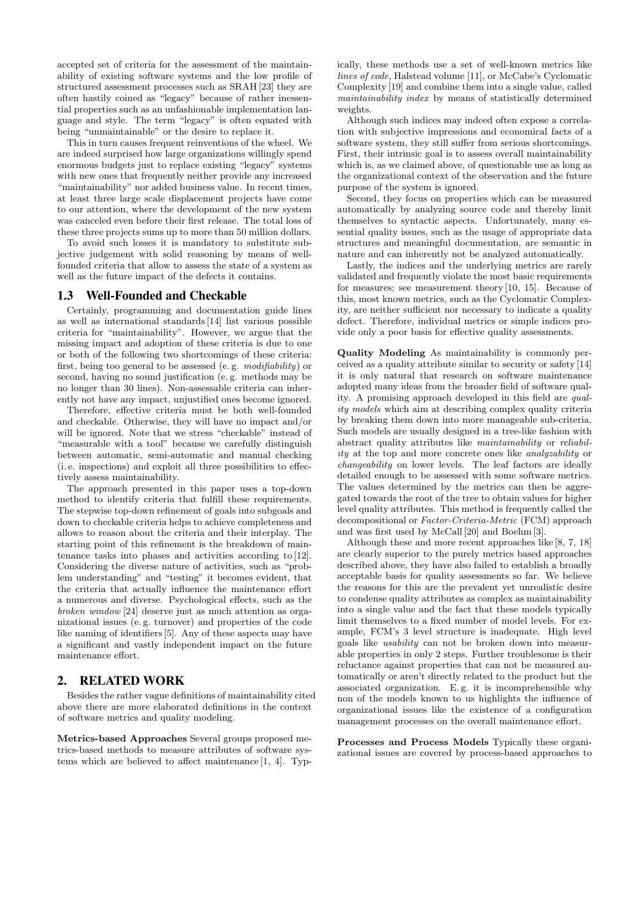accepted set of criteria for the assessment of the maintainability of existing software systems and the low profile of structured assessment processes such as SRAH [23] they are often hastily coined as "legacy" because of rather inessential properties such as an unfashionable implementation language and style. The term "legacy" is often equated with being "unmaintainable" or the desire to replace it.

This in turn causes frequent reinventions of the wheel. We are indeed surprised how large organizations willingly spend enormous budgets just to replace existing "legacy" systems with new ones that frequently neither provide any increased "maintainability" nor added business value. In recent times, at least three large scale displacement projects have come to our attention, where the development of the new system was canceled even before their first release. The total loss of these three projects sums up to more than 50 million dollars.

To avoid such losses it is mandatory to substitute subjective judgement with solid reasoning by means of wellfounded criteria that allow to assess the state of a system as well as the future impact of the defects it contains.

#### 1.3 Well-Founded and Checkable

Certainly, programming and documentation guide lines as well as international standards [14] list various possible criteria for "maintainability". However, we argue that the missing impact and adoption of these criteria is due to one or both of the following two shortcomings of these criteria: first, being too general to be assessed (e. g. modifiability) or second, having no sound justification (e. g. methods may be no longer than 30 lines). Non-assessable criteria can inherently not have any impact, unjustified ones become ignored.

Therefore, effective criteria must be both well-founded and checkable. Otherwise, they will have no impact and/or will be ignored. Note that we stress "checkable" instead of "measurable with a tool" because we carefully distinguish between automatic, semi-automatic and manual checking (i. e. inspections) and exploit all three possibilities to effectively assess maintainability.

The approach presented in this paper uses a top-down method to identify criteria that fulfill these requirements. The stepwise top-down refinement of goals into subgoals and down to checkable criteria helps to achieve completeness and allows to reason about the criteria and their interplay. The starting point of this refinement is the breakdown of maintenance tasks into phases and activities according to [12]. Considering the diverse nature of activities, such as "problem understanding" and "testing" it becomes evident, that the criteria that actually influence the maintenance effort a numerous and diverse. Psychological effects, such as the broken window [24] deserve just as much attention as organizational issues (e. g. turnover) and properties of the code like naming of identifiers [5]. Any of these aspects may have a significant and vastly independent impact on the future maintenance effort.

### 2. RELATED WORK

Besides the rather vague definitions of maintainability cited above there are more elaborated definitions in the context of software metrics and quality modeling.

Metrics-based Approaches Several groups proposed metrics-based methods to measure attributes of software systems which are believed to affect maintenance [1, 4]. Typically, these methods use a set of well-known metrics like lines of code, Halstead volume [11], or McCabe's Cyclomatic Complexity [19] and combine them into a single value, called maintainability index by means of statistically determined weights.

Although such indices may indeed often expose a correlation with subjective impressions and economical facts of a software system, they still suffer from serious shortcomings. First, their intrinsic goal is to assess overall maintainability which is, as we claimed above, of questionable use as long as the organizational context of the observation and the future purpose of the system is ignored.

Second, they focus on properties which can be measured automatically by analyzing source code and thereby limit themselves to syntactic aspects. Unfortunately, many essential quality issues, such as the usage of appropriate data structures and meaningful documentation, are semantic in nature and can inherently not be analyzed automatically.

Lastly, the indices and the underlying metrics are rarely validated and frequently violate the most basic requirements for measures; see measurement theory [10, 15]. Because of this, most known metrics, such as the Cyclomatic Complexity, are neither sufficient nor necessary to indicate a quality defect. Therefore, individual metrics or simple indices provide only a poor basis for effective quality assessments.

Quality Modeling As maintainability is commonly perceived as a quality attribute similar to security or safety [14] it is only natural that research on software maintenance adopted many ideas from the broader field of software quality. A promising approach developed in this field are quality models which aim at describing complex quality criteria by breaking them down into more manageable sub-criteria. Such models are usually designed in a tree-like fashion with abstract quality attributes like maintainability or reliability at the top and more concrete ones like analyzability or changeability on lower levels. The leaf factors are ideally detailed enough to be assessed with some software metrics. The values determined by the metrics can then be aggregated towards the root of the tree to obtain values for higher level quality attributes. This method is frequently called the decompositional or Factor-Criteria-Metric (FCM) approach and was first used by McCall [20] and Boehm [3].

Although these and more recent approaches like [8, 7, 18] are clearly superior to the purely metrics based approaches described above, they have also failed to establish a broadly acceptable basis for quality assessments so far. We believe the reasons for this are the prevalent yet unrealistic desire to condense quality attributes as complex as maintainability into a single value and the fact that these models typically limit themselves to a fixed number of model levels. For example, FCM's 3 level structure is inadequate. High level goals like usability can not be broken down into measurable properties in only 2 steps. Further troublesome is their reluctance against properties that can not be measured automatically or aren't directly related to the product but the associated organization. E. g. it is incomprehensible why non of the models known to us highlights the influence of organizational issues like the existence of a configuration management processes on the overall maintenance effort.

Processes and Process Models Typically these organizational issues are covered by process-based approaches to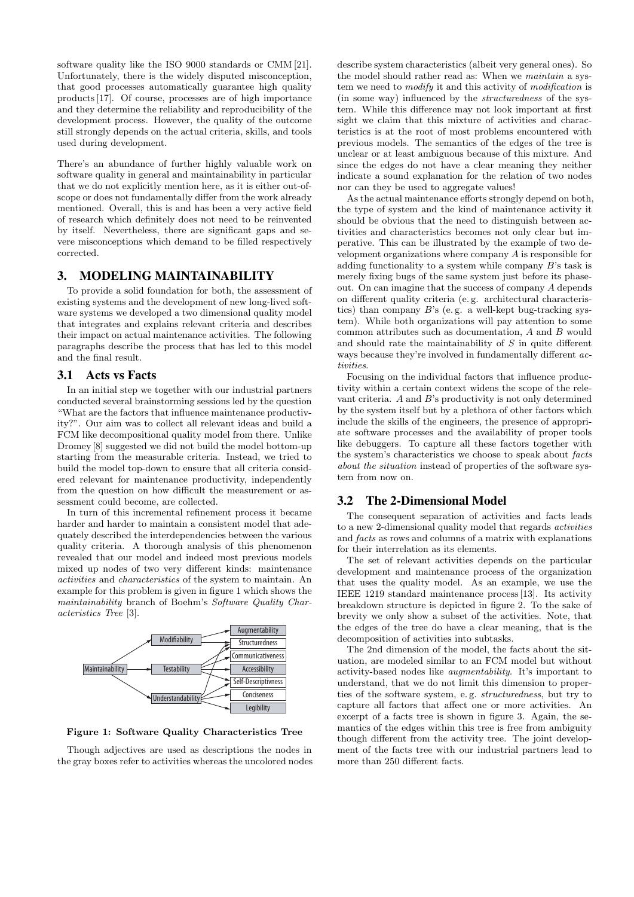software quality like the ISO 9000 standards or CMM [21]. Unfortunately, there is the widely disputed misconception, that good processes automatically guarantee high quality products [17]. Of course, processes are of high importance and they determine the reliability and reproducibility of the development process. However, the quality of the outcome still strongly depends on the actual criteria, skills, and tools used during development.

There's an abundance of further highly valuable work on software quality in general and maintainability in particular that we do not explicitly mention here, as it is either out-ofscope or does not fundamentally differ from the work already mentioned. Overall, this is and has been a very active field of research which definitely does not need to be reinvented by itself. Nevertheless, there are significant gaps and severe misconceptions which demand to be filled respectively corrected.

# 3. MODELING MAINTAINABILITY

To provide a solid foundation for both, the assessment of existing systems and the development of new long-lived software systems we developed a two dimensional quality model that integrates and explains relevant criteria and describes their impact on actual maintenance activities. The following paragraphs describe the process that has led to this model and the final result.

#### 3.1 Acts vs Facts

In an initial step we together with our industrial partners conducted several brainstorming sessions led by the question "What are the factors that influence maintenance productivity?". Our aim was to collect all relevant ideas and build a FCM like decompositional quality model from there. Unlike Dromey [8] suggested we did not build the model bottom-up starting from the measurable criteria. Instead, we tried to build the model top-down to ensure that all criteria considered relevant for maintenance productivity, independently from the question on how difficult the measurement or assessment could become, are collected.

In turn of this incremental refinement process it became harder and harder to maintain a consistent model that adequately described the interdependencies between the various quality criteria. A thorough analysis of this phenomenon revealed that our model and indeed most previous models mixed up nodes of two very different kinds: maintenance activities and characteristics of the system to maintain. An example for this problem is given in figure 1 which shows the maintainability branch of Boehm's Software Quality Characteristics Tree [3].



Figure 1: Software Quality Characteristics Tree

Though adjectives are used as descriptions the nodes in the gray boxes refer to activities whereas the uncolored nodes

describe system characteristics (albeit very general ones). So the model should rather read as: When we maintain a system we need to *modify* it and this activity of *modification* is (in some way) influenced by the structuredness of the system. While this difference may not look important at first sight we claim that this mixture of activities and characteristics is at the root of most problems encountered with previous models. The semantics of the edges of the tree is unclear or at least ambiguous because of this mixture. And since the edges do not have a clear meaning they neither indicate a sound explanation for the relation of two nodes nor can they be used to aggregate values!

As the actual maintenance efforts strongly depend on both, the type of system and the kind of maintenance activity it should be obvious that the need to distinguish between activities and characteristics becomes not only clear but imperative. This can be illustrated by the example of two development organizations where company A is responsible for adding functionality to a system while company B's task is merely fixing bugs of the same system just before its phaseout. On can imagine that the success of company A depends on different quality criteria (e. g. architectural characteristics) than company  $B$ 's (e.g. a well-kept bug-tracking system). While both organizations will pay attention to some common attributes such as documentation, A and B would and should rate the maintainability of  $S$  in quite different ways because they're involved in fundamentally different activities.

Focusing on the individual factors that influence productivity within a certain context widens the scope of the relevant criteria. A and B's productivity is not only determined by the system itself but by a plethora of other factors which include the skills of the engineers, the presence of appropriate software processes and the availability of proper tools like debuggers. To capture all these factors together with the system's characteristics we choose to speak about facts about the situation instead of properties of the software system from now on.

#### 3.2 The 2-Dimensional Model

The consequent separation of activities and facts leads to a new 2-dimensional quality model that regards activities and facts as rows and columns of a matrix with explanations for their interrelation as its elements.

The set of relevant activities depends on the particular development and maintenance process of the organization that uses the quality model. As an example, we use the IEEE 1219 standard maintenance process [13]. Its activity breakdown structure is depicted in figure 2. To the sake of brevity we only show a subset of the activities. Note, that the edges of the tree do have a clear meaning, that is the decomposition of activities into subtasks.

The 2nd dimension of the model, the facts about the situation, are modeled similar to an FCM model but without activity-based nodes like augmentability. It's important to understand, that we do not limit this dimension to properties of the software system, e. g. structuredness, but try to capture all factors that affect one or more activities. An excerpt of a facts tree is shown in figure 3. Again, the semantics of the edges within this tree is free from ambiguity though different from the activity tree. The joint development of the facts tree with our industrial partners lead to more than 250 different facts.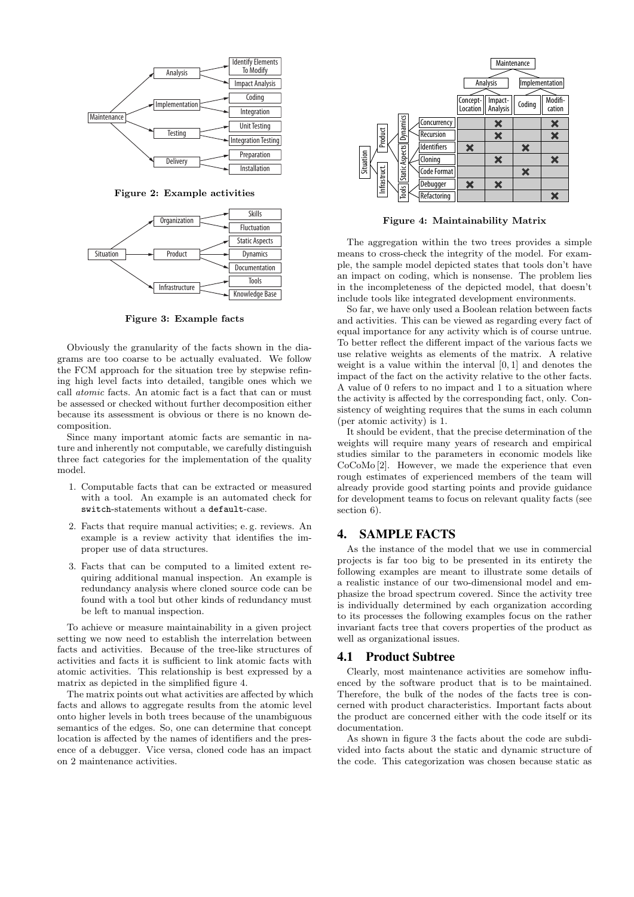

Figure 2: Example activities



Figure 3: Example facts

Obviously the granularity of the facts shown in the diagrams are too coarse to be actually evaluated. We follow the FCM approach for the situation tree by stepwise refining high level facts into detailed, tangible ones which we call atomic facts. An atomic fact is a fact that can or must be assessed or checked without further decomposition either because its assessment is obvious or there is no known decomposition.

Since many important atomic facts are semantic in nature and inherently not computable, we carefully distinguish three fact categories for the implementation of the quality model.

- 1. Computable facts that can be extracted or measured with a tool. An example is an automated check for switch-statements without a default-case.
- 2. Facts that require manual activities; e. g. reviews. An example is a review activity that identifies the improper use of data structures.
- 3. Facts that can be computed to a limited extent requiring additional manual inspection. An example is redundancy analysis where cloned source code can be found with a tool but other kinds of redundancy must be left to manual inspection.

To achieve or measure maintainability in a given project setting we now need to establish the interrelation between facts and activities. Because of the tree-like structures of activities and facts it is sufficient to link atomic facts with atomic activities. This relationship is best expressed by a matrix as depicted in the simplified figure 4.

The matrix points out what activities are affected by which facts and allows to aggregate results from the atomic level onto higher levels in both trees because of the unambiguous semantics of the edges. So, one can determine that concept location is affected by the names of identifiers and the presence of a debugger. Vice versa, cloned code has an impact



Figure 4: Maintainability Matrix

The aggregation within the two trees provides a simple means to cross-check the integrity of the model. For example, the sample model depicted states that tools don't have an impact on coding, which is nonsense. The problem lies in the incompleteness of the depicted model, that doesn't include tools like integrated development environments.

So far, we have only used a Boolean relation between facts and activities. This can be viewed as regarding every fact of equal importance for any activity which is of course untrue. To better reflect the different impact of the various facts we use relative weights as elements of the matrix. A relative weight is a value within the interval [0, 1] and denotes the impact of the fact on the activity relative to the other facts. A value of 0 refers to no impact and 1 to a situation where the activity is affected by the corresponding fact, only. Consistency of weighting requires that the sums in each column (per atomic activity) is 1.

It should be evident, that the precise determination of the weights will require many years of research and empirical studies similar to the parameters in economic models like CoCoMo [2]. However, we made the experience that even rough estimates of experienced members of the team will already provide good starting points and provide guidance for development teams to focus on relevant quality facts (see section 6).

#### 4. SAMPLE FACTS

As the instance of the model that we use in commercial projects is far too big to be presented in its entirety the following examples are meant to illustrate some details of a realistic instance of our two-dimensional model and emphasize the broad spectrum covered. Since the activity tree is individually determined by each organization according to its processes the following examples focus on the rather invariant facts tree that covers properties of the product as well as organizational issues.

### 4.1 Product Subtree

Clearly, most maintenance activities are somehow influenced by the software product that is to be maintained. Therefore, the bulk of the nodes of the facts tree is concerned with product characteristics. Important facts about the product are concerned either with the code itself or its documentation.

As shown in figure 3 the facts about the code are subdivided into facts about the static and dynamic structure of the code. This categorization was chosen because static as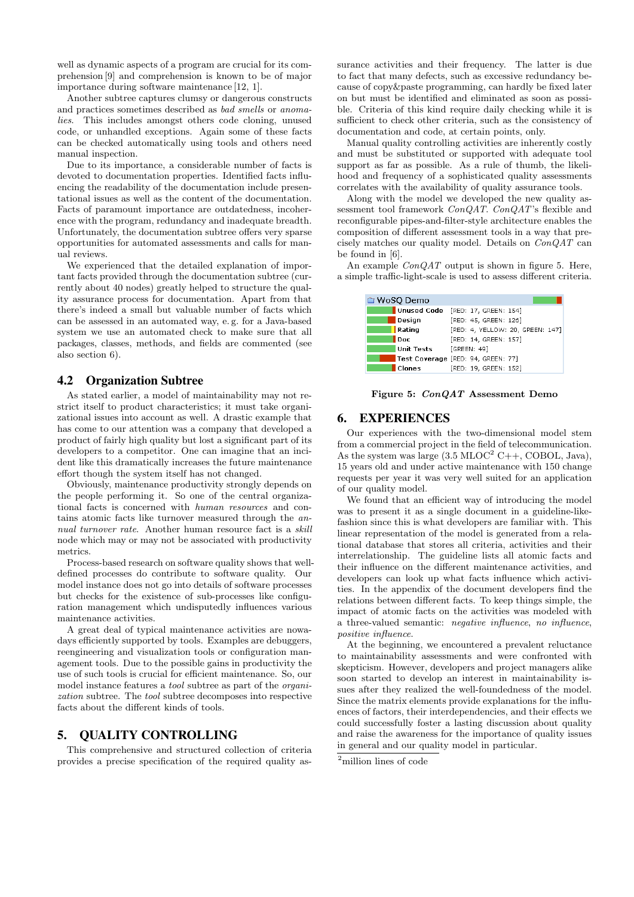well as dynamic aspects of a program are crucial for its comprehension [9] and comprehension is known to be of major importance during software maintenance [12, 1].

Another subtree captures clumsy or dangerous constructs and practices sometimes described as bad smells or anomalies. This includes amongst others code cloning, unused code, or unhandled exceptions. Again some of these facts can be checked automatically using tools and others need manual inspection.

Due to its importance, a considerable number of facts is devoted to documentation properties. Identified facts influencing the readability of the documentation include presentational issues as well as the content of the documentation. Facts of paramount importance are outdatedness, incoherence with the program, redundancy and inadequate breadth. Unfortunately, the documentation subtree offers very sparse opportunities for automated assessments and calls for manual reviews.

We experienced that the detailed explanation of important facts provided through the documentation subtree (currently about 40 nodes) greatly helped to structure the quality assurance process for documentation. Apart from that there's indeed a small but valuable number of facts which can be assessed in an automated way, e. g. for a Java-based system we use an automated check to make sure that all packages, classes, methods, and fields are commented (see also section 6).

## 4.2 Organization Subtree

As stated earlier, a model of maintainability may not restrict itself to product characteristics; it must take organizational issues into account as well. A drastic example that has come to our attention was a company that developed a product of fairly high quality but lost a significant part of its developers to a competitor. One can imagine that an incident like this dramatically increases the future maintenance effort though the system itself has not changed.

Obviously, maintenance productivity strongly depends on the people performing it. So one of the central organizational facts is concerned with human resources and contains atomic facts like turnover measured through the annual turnover rate. Another human resource fact is a skill node which may or may not be associated with productivity metrics.

Process-based research on software quality shows that welldefined processes do contribute to software quality. Our model instance does not go into details of software processes but checks for the existence of sub-processes like configuration management which undisputedly influences various maintenance activities.

A great deal of typical maintenance activities are nowadays efficiently supported by tools. Examples are debuggers, reengineering and visualization tools or configuration management tools. Due to the possible gains in productivity the use of such tools is crucial for efficient maintenance. So, our model instance features a tool subtree as part of the organization subtree. The tool subtree decomposes into respective facts about the different kinds of tools.

## 5. QUALITY CONTROLLING

This comprehensive and structured collection of criteria provides a precise specification of the required quality assurance activities and their frequency. The latter is due to fact that many defects, such as excessive redundancy because of copy&paste programming, can hardly be fixed later on but must be identified and eliminated as soon as possible. Criteria of this kind require daily checking while it is sufficient to check other criteria, such as the consistency of documentation and code, at certain points, only.

Manual quality controlling activities are inherently costly and must be substituted or supported with adequate tool support as far as possible. As a rule of thumb, the likelihood and frequency of a sophisticated quality assessments correlates with the availability of quality assurance tools.

Along with the model we developed the new quality assessment tool framework ConQAT. ConQAT's flexible and reconfigurable pipes-and-filter-style architecture enables the composition of different assessment tools in a way that precisely matches our quality model. Details on ConQAT can be found in [6].

An example ConQAT output is shown in figure 5. Here, a simple traffic-light-scale is used to assess different criteria.

| <b>≌</b> WoSQ Demo |                                    |
|--------------------|------------------------------------|
| Unused Code        | [RED: 17, GREEN: 154]              |
| <b>Design</b>      | [RED: 45, GREEN: 126]              |
| Rating             | [RED: 4, YELLOW: 20, GREEN: 147]   |
| Doc                | [RED: 14, GREEN: 157]              |
| Unit Tests         | [GREEN: 49]                        |
|                    | Test Coverage [RED: 94, GREEN: 77] |
| <b>Clones</b>      | [RED: 19, GREEN: 152]              |

Figure 5: ConQAT Assessment Demo

# 6. EXPERIENCES

Our experiences with the two-dimensional model stem from a commercial project in the field of telecommunication. As the system was large  $(3.5 \text{ MLOC}^2 \text{ C++, COBOL}, \text{Java}),$ 15 years old and under active maintenance with 150 change requests per year it was very well suited for an application of our quality model.

We found that an efficient way of introducing the model was to present it as a single document in a guideline-likefashion since this is what developers are familiar with. This linear representation of the model is generated from a relational database that stores all criteria, activities and their interrelationship. The guideline lists all atomic facts and their influence on the different maintenance activities, and developers can look up what facts influence which activities. In the appendix of the document developers find the relations between different facts. To keep things simple, the impact of atomic facts on the activities was modeled with a three-valued semantic: negative influence, no influence, positive influence.

At the beginning, we encountered a prevalent reluctance to maintainability assessments and were confronted with skepticism. However, developers and project managers alike soon started to develop an interest in maintainability issues after they realized the well-foundedness of the model. Since the matrix elements provide explanations for the influences of factors, their interdependencies, and their effects we could successfully foster a lasting discussion about quality and raise the awareness for the importance of quality issues in general and our quality model in particular.

<sup>2</sup>million lines of code